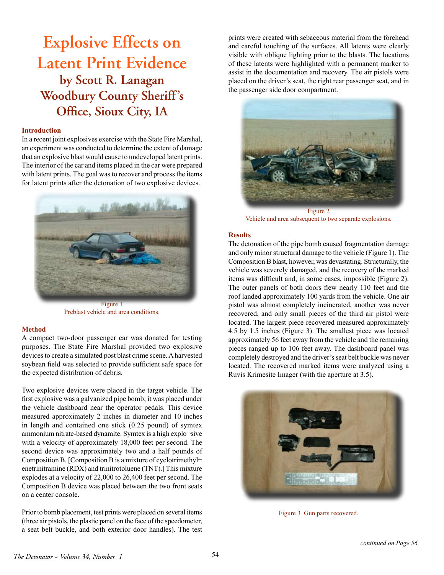# **Explosive Effects on Latent Print Evidence by Scott R. Lanagan Woodbury County Sheriff's Office, Sioux City, IA**

#### **Introduction**

In a recent joint explosives exercise with the State Fire Marshal, an experiment was conducted to determine the extent of damage that an explosive blast would cause to undeveloped latent prints. The interior of the car and items placed in the car were prepared with latent prints. The goal was to recover and process the items for latent prints after the detonation of two explosive devices.



Preblast vehicle and area conditions.

## **Method**

A compact two-door passenger car was donated for testing purposes. The State Fire Marshal provided two explosive devices to create a simulated post blast crime scene. A harvested soybean field was selected to provide sufficient safe space for the expected distribution of debris.

Two explosive devices were placed in the target vehicle. The first explosive was a galvanized pipe bomb; it was placed under the vehicle dashboard near the operator pedals. This device measured approximately 2 inches in diameter and 10 inches in length and contained one stick (0.25 pound) of symtex ammonium nitrate-based dynamite. Symtex is a high explo¬sive with a velocity of approximately 18,000 feet per second. The second device was approximately two and a half pounds of Composition B. [Composition B is a mixture of cyclotrimethyl $\neg$ ] enetrinitramine (RDX) and trinitrotoluene (TNT).] This mixture explodes at a velocity of 22,000 to 26,400 feet per second. The Composition B device was placed between the two front seats on a center console.

Prior to bomb placement, test prints were placed on several items (three air pistols, the plastic panel on the face of the speedometer, a seat belt buckle, and both exterior door handles). The test prints were created with sebaceous material from the forehead and careful touching of the surfaces. All latents were clearly visible with oblique lighting prior to the blasts. The locations of these latents were highlighted with a permanent marker to assist in the documentation and recovery. The air pistols were placed on the driver's seat, the right rear passenger seat, and in the passenger side door compartment.



Figure 2 Vehicle and area subsequent to two separate explosions.

## **Results**

The detonation of the pipe bomb caused fragmentation damage and only minor structural damage to the vehicle (Figure 1). The Composition B blast, however, was devastating. Structurally, the vehicle was severely damaged, and the recovery of the marked items was difficult and, in some cases, impossible (Figure 2). The outer panels of both doors flew nearly 110 feet and the roof landed approximately 100 yards from the vehicle. One air pistol was almost completely incinerated, another was never recovered, and only small pieces of the third air pistol were located. The largest piece recovered measured approximately 4.5 by 1.5 inches (Figure 3). The smallest piece was located approximately 56 feet away from the vehicle and the remaining pieces ranged up to 106 feet away. The dashboard panel was completely destroyed and the driver's seat belt buckle was never located. The recovered marked items were analyzed using a Ruvis Krimesite Imager (with the aperture at 3.5).



Figure 3 Gun parts recovered.